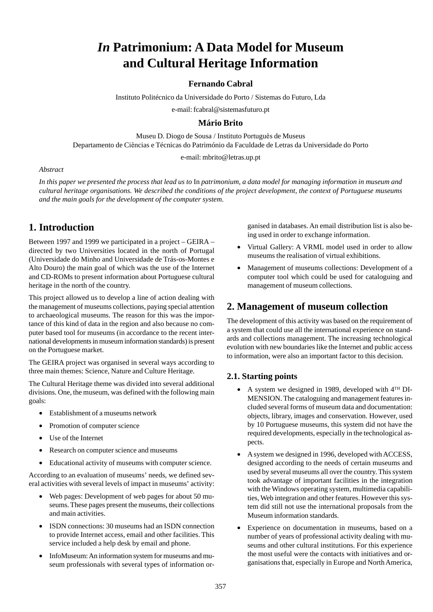# *In* **Patrimonium: A Data Model for Museum and Cultural Heritage Information**

### **Fernando Cabral**

Instituto Politécnico da Universidade do Porto / Sistemas do Futuro, Lda

e-mail: fcabral@sistemasfuturo.pt

#### **Mário Brito**

Museu D. Diogo de Sousa / Instituto Português de Museus Departamento de Ciências e Técnicas do Património da Faculdade de Letras da Universidade do Porto

e-mail: mbrito@letras.up.pt

#### *Abstract*

*In this paper we presented the process that lead us to* In *patrimonium, a data model for managing information in museum and cultural heritage organisations. We described the conditions of the project development, the context of Portuguese museums and the main goals for the development of the computer system.*

# **1. Introduction**

Between 1997 and 1999 we participated in a project – GEIRA – directed by two Universities located in the north of Portugal (Universidade do Minho and Universidade de Trás-os-Montes e Alto Douro) the main goal of which was the use of the Internet and CD-ROMs to present information about Portuguese cultural heritage in the north of the country.

This project allowed us to develop a line of action dealing with the management of museums collections, paying special attention to archaeological museums. The reason for this was the importance of this kind of data in the region and also because no computer based tool for museums (in accordance to the recent international developments in museum information standards) is present on the Portuguese market.

The GEIRA project was organised in several ways according to three main themes: Science, Nature and Culture Heritage.

The Cultural Heritage theme was divided into several additional divisions. One, the museum, was defined with the following main goals:

- Establishment of a museums network
- Promotion of computer science
- Use of the Internet
- Research on computer science and museums
- Educational activity of museums with computer science.

According to an evaluation of museums' needs, we defined several activities with several levels of impact in museums' activity:

- Web pages: Development of web pages for about 50 museums. These pages present the museums, their collections and main activities.
- ISDN connections: 30 museums had an ISDN connection to provide Internet access, email and other facilities. This service included a help desk by email and phone.
- InfoMuseum: An information system for museums and museum professionals with several types of information or-

ganised in databases. An email distribution list is also being used in order to exchange information.

- Virtual Gallery: A VRML model used in order to allow museums the realisation of virtual exhibitions.
- Management of museums collections: Development of a computer tool which could be used for cataloguing and management of museum collections.

## **2. Management of museum collection**

The development of this activity was based on the requirement of a system that could use all the international experience on standards and collections management. The increasing technological evolution with new boundaries like the Internet and public access to information, were also an important factor to this decision.

#### **2.1. Starting points**

- A system we designed in 1989, developed with  $4<sup>TH</sup>$  DI-MENSION. The cataloguing and management features included several forms of museum data and documentation: objects, library, images and conservation. However, used by 10 Portuguese museums, this system did not have the required developments, especially in the technological aspects.
- A system we designed in 1996, developed with ACCESS, designed according to the needs of certain museums and used by several museums all over the country. This system took advantage of important facilities in the integration with the Windows operating system, multimedia capabilities, Web integration and other features. However this system did still not use the international proposals from the Museum information standards.
- Experience on documentation in museums, based on a number of years of professional activity dealing with museums and other cultural institutions. For this experience the most useful were the contacts with initiatives and organisations that, especially in Europe and North America,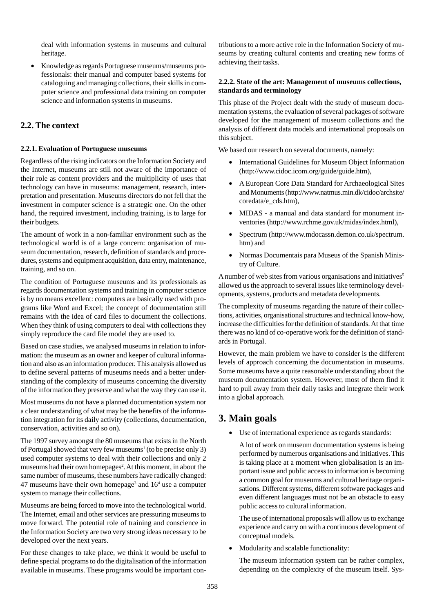deal with information systems in museums and cultural heritage.

• Knowledge as regards Portuguese museums/museums professionals: their manual and computer based systems for cataloguing and managing collections, their skills in computer science and professional data training on computer science and information systems in museums.

## **2.2. The context**

#### **2.2.1. Evaluation of Portuguese museums**

Regardless of the rising indicators on the Information Society and the Internet, museums are still not aware of the importance of their role as content providers and the multiplicity of uses that technology can have in museums: management, research, interpretation and presentation. Museums directors do not fell that the investment in computer science is a strategic one. On the other hand, the required investment, including training, is to large for their budgets.

The amount of work in a non-familiar environment such as the technological world is of a large concern: organisation of museum documentation, research, definition of standards and procedures, systems and equipment acquisition, data entry, maintenance, training, and so on.

The condition of Portuguese museums and its professionals as regards documentation systems and training in computer science is by no means excellent: computers are basically used with programs like Word and Excel; the concept of documentation still remains with the idea of card files to document the collections. When they think of using computers to deal with collections they simply reproduce the card file model they are used to.

Based on case studies, we analysed museums in relation to information: the museum as an owner and keeper of cultural information and also as an information producer. This analysis allowed us to define several patterns of museums needs and a better understanding of the complexity of museums concerning the diversity of the information they preserve and what the way they can use it.

Most museums do not have a planned documentation system nor a clear understanding of what may be the benefits of the information integration for its daily activity (collections, documentation, conservation, activities and so on).

The 1997 survey amongst the 80 museums that exists in the North of Portugal showed that very few museums<sup>1</sup> (to be precise only 3) used computer systems to deal with their collections and only 2 museums had their own homepages<sup>2</sup>. At this moment, in about the same number of museums, these numbers have radically changed: 47 museums have their own homepage<sup>3</sup> and  $16<sup>4</sup>$  use a computer system to manage their collections.

Museums are being forced to move into the technological world. The Internet, email and other services are pressuring museums to move forward. The potential role of training and conscience in the Information Society are two very strong ideas necessary to be developed over the next years.

For these changes to take place, we think it would be useful to define special programs to do the digitalisation of the information available in museums. These programs would be important contributions to a more active role in the Information Society of museums by creating cultural contents and creating new forms of achieving their tasks.

#### **2.2.2. State of the art: Management of museums collections, standards and terminology**

This phase of the Project dealt with the study of museum documentation systems, the evaluation of several packages of software developed for the management of museum collections and the analysis of different data models and international proposals on this subject.

We based our research on several documents, namely:

- International Guidelines for Museum Object Information (http://www.cidoc.icom.org/guide/guide.htm),
- A European Core Data Standard for Archaeological Sites and Monuments (http://www.natmus.min.dk/cidoc/archsite/ coredata/e\_cds.htm),
- MIDAS a manual and data standard for monument inventories (http://www.rchme.gov.uk/midas/index.html),
- Spectrum (http://www.mdocassn.demon.co.uk/spectrum. htm) and
- Normas Documentais para Museus of the Spanish Ministry of Culture.

A number of web sites from various organisations and initiatives<sup>5</sup> allowed us the approach to several issues like terminology developments, systems, products and metadata developments.

The complexity of museums regarding the nature of their collections, activities, organisational structures and technical know-how, increase the difficulties for the definition of standards. At that time there was no kind of co-operative work for the definition of standards in Portugal.

However, the main problem we have to consider is the different levels of approach concerning the documentation in museums. Some museums have a quite reasonable understanding about the museum documentation system. However, most of them find it hard to pull away from their daily tasks and integrate their work into a global approach.

# **3. Main goals**

• Use of international experience as regards standards:

A lot of work on museum documentation systems is being performed by numerous organisations and initiatives. This is taking place at a moment when globalisation is an important issue and public access to information is becoming a common goal for museums and cultural heritage organisations. Different systems, different software packages and even different languages must not be an obstacle to easy public access to cultural information.

The use of international proposals will allow us to exchange experience and carry on with a continuous development of conceptual models.

• Modularity and scalable functionality:

The museum information system can be rather complex, depending on the complexity of the museum itself. Sys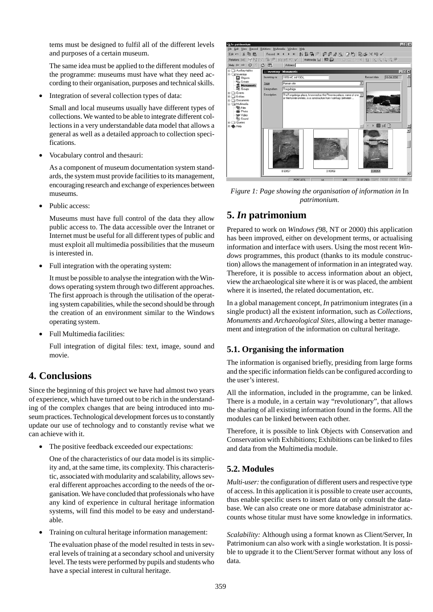tems must be designed to fulfil all of the different levels and purposes of a certain museum.

The same idea must be applied to the different modules of the programme: museums must have what they need according to their organisation, purposes and technical skills.

Integration of several collection types of data:

Small and local museums usually have different types of collections. We wanted to be able to integrate different collections in a very understandable data model that allows a general as well as a detailed approach to collection specifications.

• Vocabulary control and thesauri:

As a component of museum documentation system standards, the system must provide facilities to its management, encouraging research and exchange of experiences between museums.

Public access:

Museums must have full control of the data they allow public access to. The data accessible over the Intranet or Internet must be useful for all different types of public and must exploit all multimedia possibilities that the museum is interested in.

• Full integration with the operating system:

It must be possible to analyse the integration with the Windows operating system through two different approaches. The first approach is through the utilisation of the operating system capabilities, while the second should be through the creation of an environment similar to the Windows operating system.

• Full Multimedia facilities:

Full integration of digital files: text, image, sound and movie.

# **4. Conclusions**

Since the beginning of this project we have had almost two years of experience, which have turned out to be rich in the understanding of the complex changes that are being introduced into museum practices. Technological development forces us to constantly update our use of technology and to constantly revise what we can achieve with it.

The positive feedback exceeded our expectations:

One of the characteristics of our data model is its simplicity and, at the same time, its complexity. This characteristic, associated with modularity and scalability, allows several different approaches according to the needs of the organisation. We have concluded that professionals who have any kind of experience in cultural heritage information systems, will find this model to be easy and understandable.

• Training on cultural heritage information management:

The evaluation phase of the model resulted in tests in several levels of training at a secondary school and university level. The tests were performed by pupils and students who have a special interest in cultural heritage.



*Figure 1: Page showing the organisation of information in* In *patrimonium.*

# **5.** *In* **patrimonium**

Prepared to work on *Windows (*98, NT or 2000) this application has been improved, either on development terms, or actualising information and interface with users. Using the most recent *Windows* programmes, this product (thanks to its module construction) allows the management of information in an integrated way. Therefore, it is possible to access information about an object, view the archaeological site where it is or was placed, the ambient where it is inserted, the related documentation, etc.

In a global management concept, *In* patrimonium integrates (in a single product) all the existent information, such as *Collections, Monuments* and *Archaeological Sites*, allowing a better management and integration of the information on cultural heritage.

# **5.1. Organising the information**

The information is organised briefly, presiding from large forms and the specific information fields can be configured according to the user's interest.

All the information, included in the programme, can be linked. There is a module, in a certain way "revolutionary", that allows the sharing of all existing information found in the forms. All the modules can be linked between each other.

Therefore, it is possible to link Objects with Conservation and Conservation with Exhibitions; Exhibitions can be linked to files and data from the Multimedia module.

# **5.2. Modules**

*Multi-user:* the configuration of different users and respective type of access. In this application it is possible to create user accounts, thus enable specific users to insert data or only consult the database. We can also create one or more database administrator accounts whose titular must have some knowledge in informatics.

*Scalability:* Although using a format known as Client/Server, In Patrimonium can also work with a single workstation. It is possible to upgrade it to the Client/Server format without any loss of data.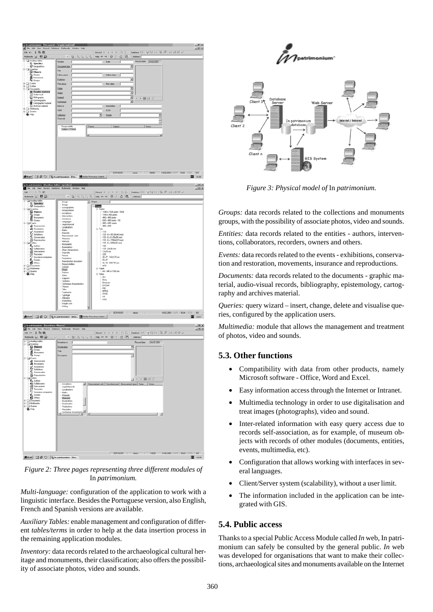

*Figure 2: Three pages representing three different modules of* In *patrimonium.*

*Multi-language:* configuration of the application to work with a linguistic interface. Besides the Portuguese version, also English, French and Spanish versions are available.

*Auxiliary Tables:* enable management and configuration of different *tables/terms* in order to help at the data insertion process in the remaining application modules.

*Inventory:* data records related to the archaeological cultural heritage and monuments, their classification; also offers the possibility of associate photos, video and sounds.



*Figure 3: Physical model of* In *patrimonium.*

*Groups:* data records related to the collections and monuments groups, with the possibility of associate photos, video and sounds.

*Entities:* data records related to the entities - authors, interventions, collaborators, recorders, owners and others.

*Events:* data records related to the events - exhibitions, conservation and restoration, movements, insurance and reproductions.

*Documents:* data records related to the documents - graphic material, audio-visual records, bibliography, epistemology, cartography and archives material.

*Queries:* query wizard – insert, change, delete and visualise queries, configured by the application users.

*Multimedia:* module that allows the management and treatment of photos, video and sounds.

## **5.3. Other functions**

- Compatibility with data from other products, namely Microsoft software - Office, Word and Excel.
- Easy information access through the Internet or Intranet.
- Multimedia technology in order to use digitalisation and treat images (photographs), video and sound.
- Inter-related information with easy query access due to records self-association, as for example, of museum objects with records of other modules (documents, entities, events, multimedia, etc).
- Configuration that allows working with interfaces in several languages.
- Client/Server system (scalability), without a user limit.
- The information included in the application can be integrated with GIS.

### **5.4. Public access**

Thanks to a special Public Access Module called *In* web, In patrimonium can safely be consulted by the general public. *In* web was developed for organisations that want to make their collections, archaeological sites and monuments available on the Internet